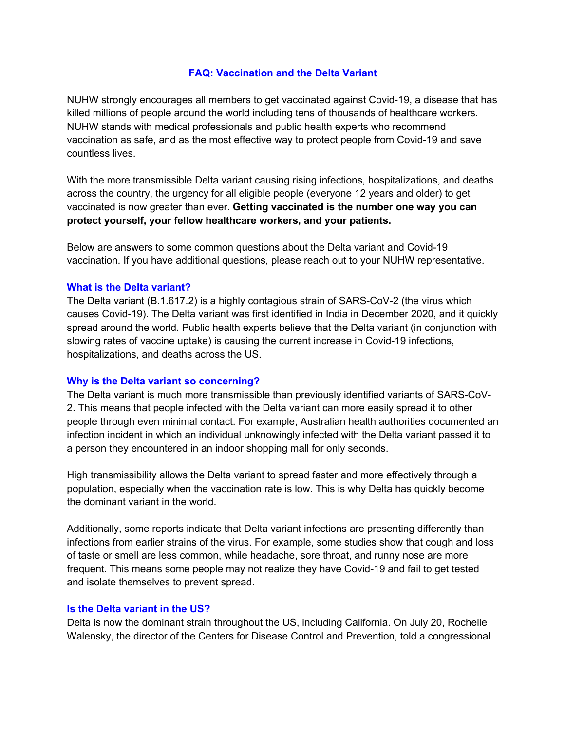# **FAQ: Vaccination and the Delta Variant**

NUHW strongly encourages all members to get vaccinated against Covid-19, a disease that has killed millions of people around the world including tens of thousands of healthcare workers. NUHW stands with medical professionals and public health experts who recommend vaccination as safe, and as the most effective way to protect people from Covid-19 and save countless lives.

With the more transmissible Delta variant causing rising infections, hospitalizations, and deaths across the country, the urgency for all eligible people (everyone 12 years and older) to get vaccinated is now greater than ever. **Getting vaccinated is the number one way you can protect yourself, your fellow healthcare workers, and your patients.**

Below are answers to some common questions about the Delta variant and Covid-19 vaccination. If you have additional questions, please reach out to your NUHW representative.

# **What is the Delta variant?**

The Delta variant (B.1.617.2) is a highly contagious strain of SARS-CoV-2 (the virus which causes Covid-19). The Delta variant was first identified in India in December 2020, and it quickly spread around the world. Public health experts believe that the Delta variant (in conjunction with slowing rates of vaccine uptake) is causing the current increase in Covid-19 infections, hospitalizations, and deaths across the US.

# **Why is the Delta variant so concerning?**

The Delta variant is much more transmissible than previously identified variants of SARS-CoV-2. This means that people infected with the Delta variant can more easily spread it to other people through even minimal contact. For example, Australian health authorities documented an infection incident in which an individual unknowingly infected with the Delta variant passed it to a person they encountered in an indoor shopping mall for only seconds.

High transmissibility allows the Delta variant to spread faster and more effectively through a population, especially when the vaccination rate is low. This is why Delta has quickly become the dominant variant in the world.

Additionally, some reports indicate that Delta variant infections are presenting differently than infections from earlier strains of the virus. For example, some studies show that cough and loss of taste or smell are less common, while headache, sore throat, and runny nose are more frequent. This means some people may not realize they have Covid-19 and fail to get tested and isolate themselves to prevent spread.

## **Is the Delta variant in the US?**

Delta is now the dominant strain throughout the US, including California. On July 20, Rochelle Walensky, the director of the Centers for Disease Control and Prevention, told a congressional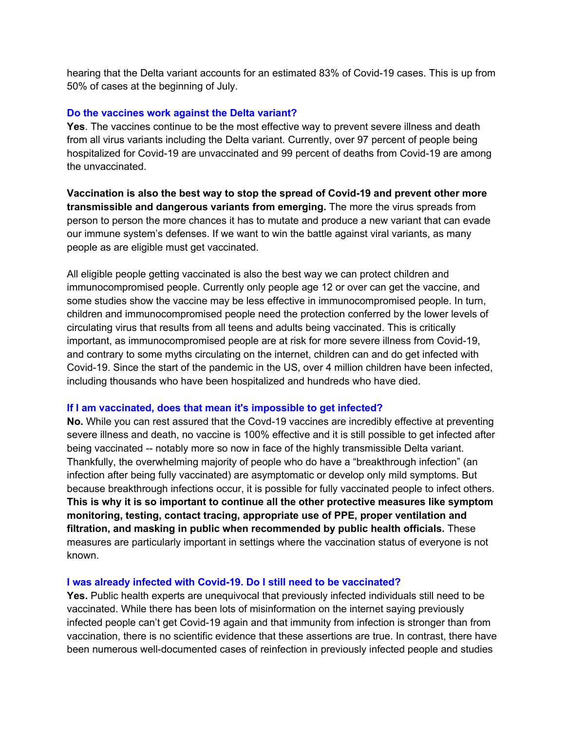hearing that the Delta variant accounts for an estimated 83% of Covid-19 cases. This is up from 50% of cases at the beginning of July.

#### **Do the vaccines work against the Delta variant?**

**Yes**. The vaccines continue to be the most effective way to prevent severe illness and death from all virus variants including the Delta variant. Currently, over 97 percent of people being hospitalized for Covid-19 are unvaccinated and 99 percent of deaths from Covid-19 are among the unvaccinated.

**Vaccination is also the best way to stop the spread of Covid-19 and prevent other more transmissible and dangerous variants from emerging.** The more the virus spreads from person to person the more chances it has to mutate and produce a new variant that can evade our immune system's defenses. If we want to win the battle against viral variants, as many people as are eligible must get vaccinated.

All eligible people getting vaccinated is also the best way we can protect children and immunocompromised people. Currently only people age 12 or over can get the vaccine, and some studies show the vaccine may be less effective in immunocompromised people. In turn, children and immunocompromised people need the protection conferred by the lower levels of circulating virus that results from all teens and adults being vaccinated. This is critically important, as immunocompromised people are at risk for more severe illness from Covid-19, and contrary to some myths circulating on the internet, children can and do get infected with Covid-19. Since the start of the pandemic in the US, over 4 million children have been infected, including thousands who have been hospitalized and hundreds who have died.

#### **If I am vaccinated, does that mean it's impossible to get infected?**

**No.** While you can rest assured that the Covd-19 vaccines are incredibly effective at preventing severe illness and death, no vaccine is 100% effective and it is still possible to get infected after being vaccinated -- notably more so now in face of the highly transmissible Delta variant. Thankfully, the overwhelming majority of people who do have a "breakthrough infection" (an infection after being fully vaccinated) are asymptomatic or develop only mild symptoms. But because breakthrough infections occur, it is possible for fully vaccinated people to infect others. **This is why it is so important to continue all the other protective measures like symptom monitoring, testing, contact tracing, appropriate use of PPE, proper ventilation and filtration, and masking in public when recommended by public health officials.** These measures are particularly important in settings where the vaccination status of everyone is not known.

#### **I was already infected with Covid-19. Do I still need to be vaccinated?**

**Yes.** Public health experts are unequivocal that previously infected individuals still need to be vaccinated. While there has been lots of misinformation on the internet saying previously infected people can't get Covid-19 again and that immunity from infection is stronger than from vaccination, there is no scientific evidence that these assertions are true. In contrast, there have been numerous well-documented cases of reinfection in previously infected people and studies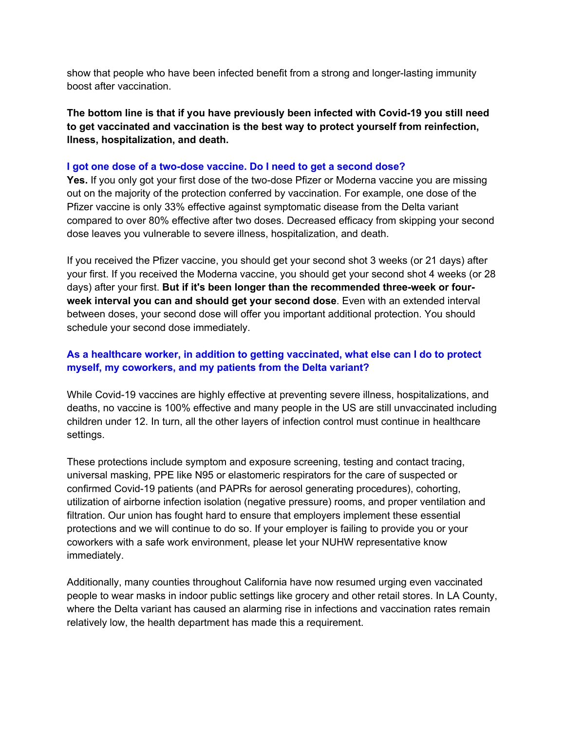show that people who have been infected benefit from a strong and longer-lasting immunity boost after vaccination.

**The bottom line is that if you have previously been infected with Covid-19 you still need to get vaccinated and vaccination is the best way to protect yourself from reinfection, llness, hospitalization, and death.**

## **I got one dose of a two-dose vaccine. Do I need to get a second dose?**

**Yes.** If you only got your first dose of the two-dose Pfizer or Moderna vaccine you are missing out on the majority of the protection conferred by vaccination. For example, one dose of the Pfizer vaccine is only 33% effective against symptomatic disease from the Delta variant compared to over 80% effective after two doses. Decreased efficacy from skipping your second dose leaves you vulnerable to severe illness, hospitalization, and death.

If you received the Pfizer vaccine, you should get your second shot 3 weeks (or 21 days) after your first. If you received the Moderna vaccine, you should get your second shot 4 weeks (or 28 days) after your first. **But if it's been longer than the recommended three-week or fourweek interval you can and should get your second dose**. Even with an extended interval between doses, your second dose will offer you important additional protection. You should schedule your second dose immediately.

# **As a healthcare worker, in addition to getting vaccinated, what else can I do to protect myself, my coworkers, and my patients from the Delta variant?**

While Covid-19 vaccines are highly effective at preventing severe illness, hospitalizations, and deaths, no vaccine is 100% effective and many people in the US are still unvaccinated including children under 12. In turn, all the other layers of infection control must continue in healthcare settings.

These protections include symptom and exposure screening, testing and contact tracing, universal masking, PPE like N95 or elastomeric respirators for the care of suspected or confirmed Covid-19 patients (and PAPRs for aerosol generating procedures), cohorting, utilization of airborne infection isolation (negative pressure) rooms, and proper ventilation and filtration. Our union has fought hard to ensure that employers implement these essential protections and we will continue to do so. If your employer is failing to provide you or your coworkers with a safe work environment, please let your NUHW representative know immediately.

Additionally, many counties throughout California have now resumed urging even vaccinated people to wear masks in indoor public settings like grocery and other retail stores. In LA County, where the Delta variant has caused an alarming rise in infections and vaccination rates remain relatively low, the health department has made this a requirement.